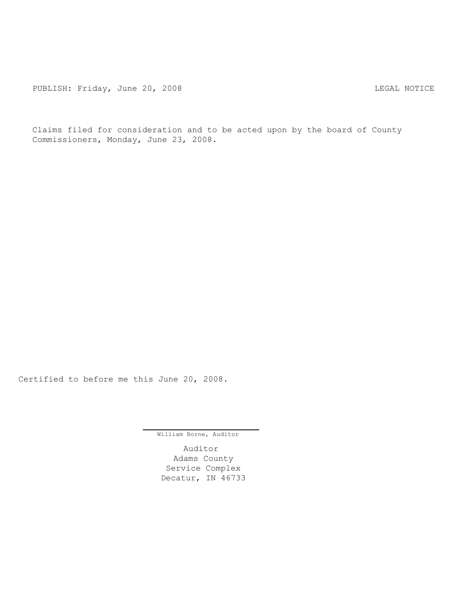PUBLISH: Friday, June 20, 2008 CONSERVITY CONTROLLY AND THE LEGAL NOTICE

Claims filed for consideration and to be acted upon by the board of County Commissioners, Monday, June 23, 2008.

Certified to before me this June 20, 2008.

William Borne, Auditor

Auditor Adams County Service Complex Decatur, IN 46733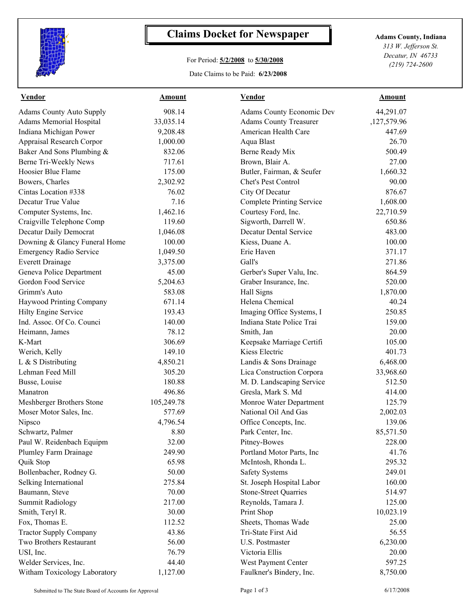

## **Claims Docket for Newspaper Adams County, Indiana**

## For Period: **5/2/2008** to **5/30/2008**

Date Claims to be Paid: **6/23/2008**

*313 W. Jefferson St. Decatur, IN 46733 (219) 724-2600*

| <b>Vendor</b>                    | Amount     | <b>Vendor</b>                    | <b>Amount</b> |  |
|----------------------------------|------------|----------------------------------|---------------|--|
| <b>Adams County Auto Supply</b>  | 908.14     | Adams County Economic Dev        | 44,291.07     |  |
| <b>Adams Memorial Hospital</b>   | 33,035.14  | <b>Adams County Treasurer</b>    | ,127,579.96   |  |
| Indiana Michigan Power           | 9,208.48   | American Health Care             | 447.69        |  |
| <b>Appraisal Research Corpor</b> | 1,000.00   | Aqua Blast                       | 26.70         |  |
| Baker And Sons Plumbing &        | 832.06     | Berne Ready Mix                  | 500.49        |  |
| Berne Tri-Weekly News            | 717.61     | Brown, Blair A.                  | 27.00         |  |
| Hoosier Blue Flame               | 175.00     | Butler, Fairman, & Seufer        | 1,660.32      |  |
| Bowers, Charles                  | 2,302.92   | Chet's Pest Control              | 90.00         |  |
| Cintas Location #338             | 76.02      | City Of Decatur                  | 876.67        |  |
| Decatur True Value               | 7.16       | <b>Complete Printing Service</b> | 1,608.00      |  |
| Computer Systems, Inc.           | 1,462.16   | Courtesy Ford, Inc.              | 22,710.59     |  |
| Craigville Telephone Comp        | 119.60     | Sigworth, Darrell W.             | 650.86        |  |
| Decatur Daily Democrat           | 1,046.08   | <b>Decatur Dental Service</b>    | 483.00        |  |
| Downing & Glancy Funeral Home    | 100.00     | Kiess, Duane A.                  | 100.00        |  |
| <b>Emergency Radio Service</b>   | 1,049.50   | Erie Haven                       | 371.17        |  |
| <b>Everett Drainage</b>          | 3,375.00   | Gall's                           | 271.86        |  |
| Geneva Police Department         | 45.00      | Gerber's Super Valu, Inc.        | 864.59        |  |
| Gordon Food Service              | 5,204.63   | Graber Insurance, Inc.           | 520.00        |  |
| Grimm's Auto                     | 583.08     | Hall Signs                       | 1,870.00      |  |
| Haywood Printing Company         | 671.14     | Helena Chemical                  | 40.24         |  |
| Hilty Engine Service             | 193.43     | Imaging Office Systems, I        | 250.85        |  |
| Ind. Assoc. Of Co. Counci        | 140.00     | Indiana State Police Trai        | 159.00        |  |
| Heimann, James                   | 78.12      | Smith, Jan                       | 20.00         |  |
| K-Mart                           | 306.69     | Keepsake Marriage Certifi        | 105.00        |  |
| Werich, Kelly                    | 149.10     | Kiess Electric                   | 401.73        |  |
| L & S Distributing               | 4,850.21   | Landis & Sons Drainage           | 6,468.00      |  |
| Lehman Feed Mill                 | 305.20     | Lica Construction Corpora        | 33,968.60     |  |
| Busse, Louise                    | 180.88     | M. D. Landscaping Service        | 512.50        |  |
| Manatron                         | 496.86     | Gresla, Mark S. Md               | 414.00        |  |
| Meshberger Brothers Stone        | 105,249.78 | Monroe Water Department          | 125.79        |  |
| Moser Motor Sales, Inc.          | 577.69     | National Oil And Gas             | 2,002.03      |  |
| Nipsco                           | 4,796.54   | Office Concepts, Inc.            | 139.06        |  |
| Schwartz, Palmer                 | 8.80       | Park Center, Inc.                | 85,571.50     |  |
| Paul W. Reidenbach Equipm        | 32.00      | Pitney-Bowes                     | 228.00        |  |
| Plumley Farm Drainage            | 249.90     | Portland Motor Parts, Inc        | 41.76         |  |
| Quik Stop                        | 65.98      | McIntosh, Rhonda L.              | 295.32        |  |
| Bollenbacher, Rodney G.          | 50.00      | <b>Safety Systems</b>            | 249.01        |  |
| Selking International            | 275.84     | St. Joseph Hospital Labor        | 160.00        |  |
| Baumann, Steve                   | 70.00      | <b>Stone-Street Quarries</b>     | 514.97        |  |
| <b>Summit Radiology</b>          | 217.00     | Reynolds, Tamara J.              | 125.00        |  |
| Smith, Teryl R.                  | 30.00      | Print Shop                       | 10,023.19     |  |
| Fox, Thomas E.                   | 112.52     | Sheets, Thomas Wade              | 25.00         |  |
| <b>Tractor Supply Company</b>    | 43.86      | Tri-State First Aid              | 56.55         |  |
| Two Brothers Restaurant          | 56.00      | U.S. Postmaster                  | 6,230.00      |  |
| USI, Inc.                        | 76.79      | Victoria Ellis                   | 20.00         |  |
| Welder Services, Inc.            | 44.40      | West Payment Center              | 597.25        |  |
| Witham Toxicology Laboratory     | 1,127.00   | Faulkner's Bindery, Inc.         | 8,750.00      |  |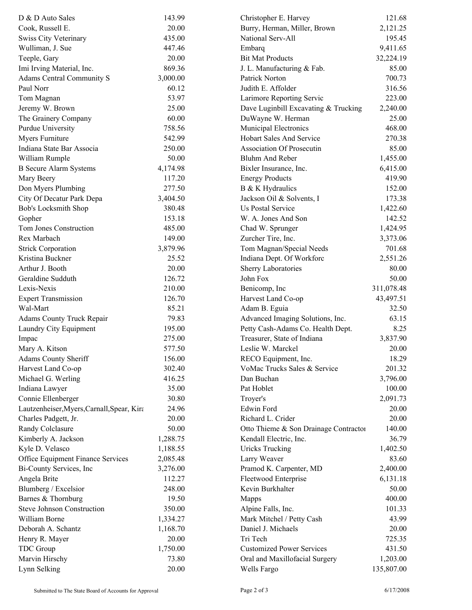| D & D Auto Sales                           | 143.99   | Christopher E. Harvey                 | 121.68     |
|--------------------------------------------|----------|---------------------------------------|------------|
| Cook, Russell E.                           | 20.00    | Burry, Herman, Miller, Brown          | 2,121.25   |
| <b>Swiss City Veterinary</b>               | 435.00   | National Serv-All                     | 195.45     |
| Wulliman, J. Sue                           | 447.46   | Embarg                                | 9,411.65   |
| Teeple, Gary                               | 20.00    | <b>Bit Mat Products</b>               | 32,224.19  |
| Imi Irving Material, Inc.                  | 869.36   | J. L. Manufacturing & Fab.            | 85.00      |
| <b>Adams Central Community S</b>           | 3,000.00 | Patrick Norton                        | 700.73     |
| Paul Norr                                  | 60.12    | Judith E. Affolder                    | 316.56     |
| Tom Magnan                                 | 53.97    | Larimore Reporting Servic             | 223.00     |
| Jeremy W. Brown                            | 25.00    | Dave Luginbill Excavating & Trucking  | 2,240.00   |
| The Grainery Company                       | 60.00    | DuWayne W. Herman                     | 25.00      |
| Purdue University                          | 758.56   | Municipal Electronics                 | 468.00     |
| Myers Furniture                            | 542.99   | Hobart Sales And Service              | 270.38     |
| Indiana State Bar Associa                  | 250.00   | <b>Association Of Prosecutin</b>      | 85.00      |
| William Rumple                             | 50.00    | Bluhm And Reber                       | 1,455.00   |
| <b>B</b> Secure Alarm Systems              | 4,174.98 | Bixler Insurance, Inc.                | 6,415.00   |
| Mary Beery                                 | 117.20   | <b>Energy Products</b>                | 419.90     |
| Don Myers Plumbing                         | 277.50   | B & K Hydraulics                      | 152.00     |
| City Of Decatur Park Depa                  | 3,404.50 | Jackson Oil & Solvents, I             | 173.38     |
| Bob's Locksmith Shop                       | 380.48   | <b>Us Postal Service</b>              | 1,422.60   |
| Gopher                                     | 153.18   | W. A. Jones And Son                   | 142.52     |
| Tom Jones Construction                     | 485.00   | Chad W. Sprunger                      | 1,424.95   |
| Rex Marbach                                | 149.00   | Zurcher Tire, Inc.                    | 3,373.06   |
| <b>Strick Corporation</b>                  | 3,879.96 | Tom Magnan/Special Needs              | 701.68     |
| Kristina Buckner                           | 25.52    | Indiana Dept. Of Workforc             | 2,551.26   |
| Arthur J. Booth                            | 20.00    | <b>Sherry Laboratories</b>            | 80.00      |
| Geraldine Sudduth                          | 126.72   | John Fox                              | 50.00      |
| Lexis-Nexis                                | 210.00   | Benicomp, Inc                         | 311,078.48 |
| <b>Expert Transmission</b>                 | 126.70   | Harvest Land Co-op                    | 43,497.51  |
| Wal-Mart                                   | 85.21    |                                       | 32.50      |
|                                            |          | Adam B. Eguia                         |            |
| <b>Adams County Truck Repair</b>           | 79.83    | Advanced Imaging Solutions, Inc.      | 63.15      |
| Laundry City Equipment                     | 195.00   | Petty Cash-Adams Co. Health Dept.     | 8.25       |
| Impac                                      | 275.00   | Treasurer, State of Indiana           | 3,837.90   |
| Mary A. Kitson                             | 577.50   | Leslie W. Marckel                     | 20.00      |
| <b>Adams County Sheriff</b>                | 156.00   | RECO Equipment, Inc.                  | 18.29      |
| Harvest Land Co-op                         | 302.40   | VoMac Trucks Sales & Service          | 201.32     |
| Michael G. Werling                         | 416.25   | Dan Buchan                            | 3,796.00   |
| Indiana Lawyer                             | 35.00    | Pat Hoblet                            | 100.00     |
| Connie Ellenberger                         | 30.80    | Troyer's                              | 2,091.73   |
| Lautzenheiser, Myers, Carnall, Spear, Kira | 24.96    | Edwin Ford                            | 20.00      |
| Charles Padgett, Jr.                       | 20.00    | Richard L. Crider                     | 20.00      |
| Randy Colclasure                           | 50.00    | Otto Thieme & Son Drainage Contractor | 140.00     |
| Kimberly A. Jackson                        | 1,288.75 | Kendall Electric, Inc.                | 36.79      |
| Kyle D. Velasco                            | 1,188.55 | <b>Uricks Trucking</b>                | 1,402.50   |
| Office Equipment Finance Services          | 2,085.48 | Larry Weaver                          | 83.60      |
| Bi-County Services, Inc                    | 3,276.00 | Pramod K. Carpenter, MD               | 2,400.00   |
| Angela Brite                               | 112.27   | Fleetwood Enterprise                  | 6,131.18   |
| Blumberg / Excelsior                       | 248.00   | Kevin Burkhalter                      | 50.00      |
| Barnes & Thornburg                         | 19.50    | Mapps                                 | 400.00     |
| Steve Johnson Construction                 | 350.00   | Alpine Falls, Inc.                    | 101.33     |
| William Borne                              | 1,334.27 | Mark Mitchel / Petty Cash             | 43.99      |
| Deborah A. Schantz                         | 1,168.70 | Daniel J. Michaels                    | 20.00      |
| Henry R. Mayer                             | 20.00    | Tri Tech                              | 725.35     |
| <b>TDC</b> Group                           | 1,750.00 | <b>Customized Power Services</b>      | 431.50     |
| Marvin Hirschy                             | 73.80    | Oral and Maxillofacial Surgery        | 1,203.00   |
| Lynn Selking                               | 20.00    | Wells Fargo                           | 135,807.00 |